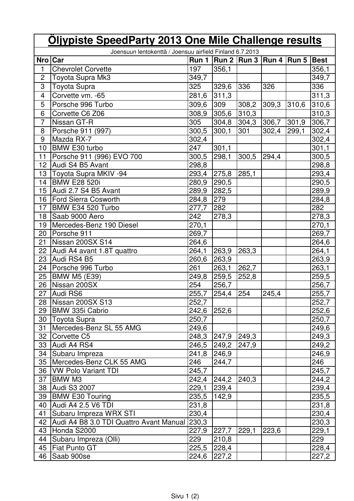| Oljypiste SpeedParty 2013 One Mile Challenge results |                                                          |                    |                    |                |                               |       |                    |  |  |  |
|------------------------------------------------------|----------------------------------------------------------|--------------------|--------------------|----------------|-------------------------------|-------|--------------------|--|--|--|
|                                                      | Joensuun lentokenttä / Joensuu airfield Finland 6.7.2013 |                    |                    |                |                               |       |                    |  |  |  |
| Nro Car                                              |                                                          |                    |                    |                | Run 1 Run 2 Run 3 Run 4 Run 5 |       | Best               |  |  |  |
| 1                                                    | <b>Chevrolet Corvette</b>                                | 197                | 356,1              |                |                               |       | 356,1              |  |  |  |
| $\overline{c}$                                       | Toyota Supra Mk3                                         | 349,7              |                    |                |                               |       | $\overline{3}49,7$ |  |  |  |
| $\overline{3}$                                       | Toyota Supra                                             | 325                | 329,6              | 336            | 326                           |       | 336                |  |  |  |
| 4                                                    | Corvette vm. - 65                                        | 281,6              | 311,3              |                |                               |       | 311,3              |  |  |  |
| $\overline{5}$                                       | Porsche 996 Turbo                                        | 309,6              | 309                | 308,2          | 309,3                         | 310,6 | 310,6              |  |  |  |
| 6                                                    | Corvette C6 Z06                                          | 308,9              | 305,6              | 310,3          |                               |       | 310,3              |  |  |  |
| $\overline{7}$                                       | Nissan GT-R                                              | 305                | 304,8              | 304,3          | 306,7                         | 301,9 | 306,7              |  |  |  |
| 8                                                    | Porsche 911 (997)                                        | 300,5              | 300,1              | 301            | 302,4                         | 299,1 | 302,4              |  |  |  |
| $9\,$                                                | Mazda RX-7                                               | 302,4              |                    |                |                               |       | 302,4              |  |  |  |
| 10                                                   | BMW E30 turbo                                            | 247                | 301,1              |                |                               |       | 301,1              |  |  |  |
| 11                                                   | Porsche 911 (996) EVO 700                                | 300,5              | 298,1              | 300,5          | 294,4                         |       | 300,5              |  |  |  |
| 12                                                   | Audi S4 B5 Avant                                         | 298,8              |                    |                |                               |       | 298,8              |  |  |  |
| 13                                                   | Toyota Supra MKIV -94                                    | 293,4              | 275,8              | 285,1          |                               |       | 293,4              |  |  |  |
| 14                                                   | <b>BMW E28 520i</b>                                      | 280,9 290,5        |                    |                |                               |       | 290,5              |  |  |  |
| 15                                                   | Audi 2.7 S4 B5 Avant                                     | 289,9              | 282,5              |                |                               |       | 289,9              |  |  |  |
| 16                                                   | <b>Ford Sierra Cosworth</b>                              | 284,8              | 279                |                |                               |       | 284,8              |  |  |  |
| 17                                                   | BMW E34 520 Turbo                                        | 277,7              | 282                |                |                               |       | 282                |  |  |  |
| 18                                                   | Saab 9000 Aero                                           | 242                | 278,3              |                |                               |       | 278,3              |  |  |  |
| 19                                                   | Mercedes-Benz 190 Diesel                                 | 270,1              |                    |                |                               |       | 270,1              |  |  |  |
| 20                                                   | Porsche 911                                              | 269,7              |                    |                |                               |       | 269,7              |  |  |  |
| 21                                                   | Nissan 200SX S14                                         | 264,6              |                    |                |                               |       | 264,6              |  |  |  |
| 22                                                   | Audi A4 avant 1.8T quattro                               | 264,1              | 263,9              | 263,3          |                               |       | 264,1              |  |  |  |
| 23                                                   | Audi RS4 B5                                              | 260,6              | 263,9              |                |                               |       | 263,9              |  |  |  |
| 24                                                   | Porsche 996 Turbo                                        | 261                | 263,1              | 262,7          |                               |       | 263,1              |  |  |  |
| 25                                                   | <b>BMW M5 (E39)</b>                                      | 249,8              | 259,5              | 252,8          |                               |       | 259,5              |  |  |  |
|                                                      | 26 Nissan 200SX                                          | 254                | 256,7              |                |                               |       | 256,7              |  |  |  |
| $\overline{27}$                                      | Audi RS6                                                 | $255,\overline{7}$ | $\overline{254,4}$ | 254            | 245,4                         |       | 255,7              |  |  |  |
|                                                      | 28 Nissan 200SX S13                                      | 252,7              |                    |                |                               |       | 252,7              |  |  |  |
| 29                                                   | BMW 335i Cabrio                                          | 242,6              | 252,6              |                |                               |       | 252,6              |  |  |  |
|                                                      | 30 Toyota Supra                                          | 250,7              |                    |                |                               |       | 250,7              |  |  |  |
| 31                                                   | Mercedes-Benz SL 55 AMG                                  | 249,6              |                    |                |                               |       | 249,6              |  |  |  |
|                                                      | 32 Corvette C5                                           | 248,3              | 247,9              | $\sqrt{2}49,3$ |                               |       | 249,3              |  |  |  |
|                                                      | 33 Audi A4 RS4                                           | 246,5              | $ 249,2\rangle$    | 247,9          |                               |       | 249,2              |  |  |  |
| 34                                                   | Subaru Impreza                                           | 241,8              | 246,9              |                |                               |       | 246,9              |  |  |  |
|                                                      | 35   Mercedes-Benz CLK 55 AMG                            | 246                | 244,7              |                |                               |       | 246                |  |  |  |
|                                                      | 36   VW Polo Variant TDI                                 | 245,7              |                    |                |                               |       | 245,7              |  |  |  |
|                                                      | 37   BMW M3                                              | 242,4              | 244,2              | 240,3          |                               |       | 244,2              |  |  |  |
|                                                      | 38 Audi S3 2007                                          | 229,1              | 239,4              |                |                               |       | 239,4              |  |  |  |
| 39                                                   | <b>BMW E30 Touring</b>                                   | 235,5              | 142,9              |                |                               |       | 235,5              |  |  |  |
| 40                                                   | Audi A4 2.5 V6 TDI                                       | 231,8              |                    |                |                               |       | 231,8              |  |  |  |
| 41                                                   | Subaru Impreza WRX STI                                   | 230,4              |                    |                |                               |       | 230,4              |  |  |  |
|                                                      | 42 Audi A4 B8 3.0 TDI Quattro Avant Manual 230,3         |                    |                    |                |                               |       | 230,3              |  |  |  |
| 43                                                   | Honda S2000                                              | 227,9              | 227,7              | 229,1          | 223,6                         |       | 229,1              |  |  |  |
| 44                                                   | Subaru Impreza (Olli)                                    | 229                | 210,8              |                |                               |       | 229                |  |  |  |
| 45                                                   | <b>Fiat Punto GT</b>                                     | 225,5              | 228,4              |                |                               |       | 228,4              |  |  |  |
| 46                                                   | Saab 900se                                               | 224,6              | 227,2              |                |                               |       | 227,2              |  |  |  |